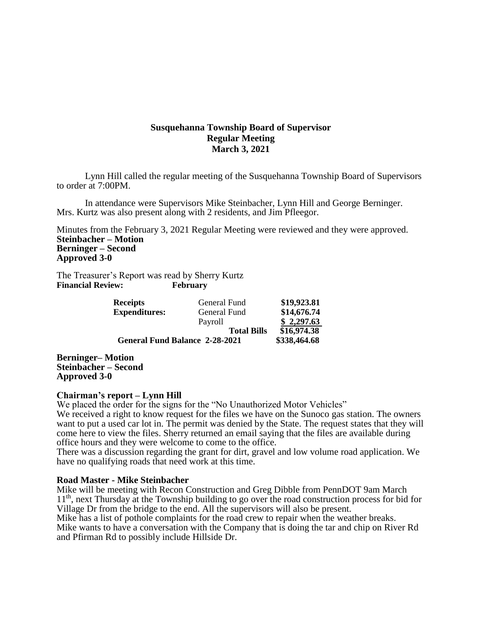# **Susquehanna Township Board of Supervisor Regular Meeting March 3, 2021**

Lynn Hill called the regular meeting of the Susquehanna Township Board of Supervisors to order at 7:00PM.

In attendance were Supervisors Mike Steinbacher, Lynn Hill and George Berninger. Mrs. Kurtz was also present along with 2 residents, and Jim Pfleegor.

Minutes from the February 3, 2021 Regular Meeting were reviewed and they were approved. **Steinbacher – Motion Berninger – Second Approved 3-0**

The Treasurer's Report was read by Sherry Kurtz **Financial Review: February**

| <b>Receipts</b>                       | General Fund       | \$19,923.81  |
|---------------------------------------|--------------------|--------------|
| <b>Expenditures:</b>                  | General Fund       | \$14,676.74  |
|                                       | Payroll            | \$2,297.63   |
|                                       | <b>Total Bills</b> | \$16,974.38  |
| <b>General Fund Balance 2-28-2021</b> |                    | \$338,464.68 |

**Berninger– Motion Steinbacher – Second Approved 3-0**

## **Chairman's report – Lynn Hill**

We placed the order for the signs for the "No Unauthorized Motor Vehicles"

We received a right to know request for the files we have on the Sunoco gas station. The owners want to put a used car lot in. The permit was denied by the State. The request states that they will come here to view the files. Sherry returned an email saying that the files are available during office hours and they were welcome to come to the office.

There was a discussion regarding the grant for dirt, gravel and low volume road application. We have no qualifying roads that need work at this time.

## **Road Master - Mike Steinbacher**

Mike will be meeting with Recon Construction and Greg Dibble from PennDOT 9am March 11<sup>th</sup>, next Thursday at the Township building to go over the road construction process for bid for Village Dr from the bridge to the end. All the supervisors will also be present.

Mike has a list of pothole complaints for the road crew to repair when the weather breaks. Mike wants to have a conversation with the Company that is doing the tar and chip on River Rd and Pfirman Rd to possibly include Hillside Dr.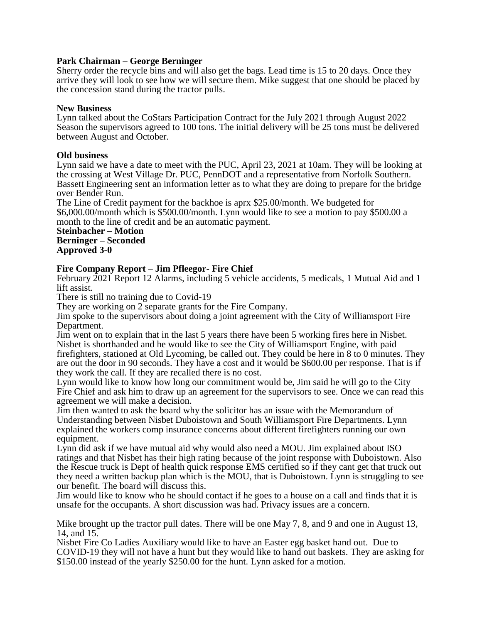# **Park Chairman – George Berninger**

Sherry order the recycle bins and will also get the bags. Lead time is 15 to 20 days. Once they arrive they will look to see how we will secure them. Mike suggest that one should be placed by the concession stand during the tractor pulls.

## **New Business**

Lynn talked about the CoStars Participation Contract for the July 2021 through August 2022 Season the supervisors agreed to 100 tons. The initial delivery will be 25 tons must be delivered between August and October.

# **Old business**

Lynn said we have a date to meet with the PUC, April 23, 2021 at 10am. They will be looking at the crossing at West Village Dr. PUC, PennDOT and a representative from Norfolk Southern. Bassett Engineering sent an information letter as to what they are doing to prepare for the bridge over Bender Run.

The Line of Credit payment for the backhoe is aprx \$25.00/month. We budgeted for \$6,000.00/month which is \$500.00/month. Lynn would like to see a motion to pay \$500.00 a month to the line of credit and be an automatic payment.

**Steinbacher – Motion Berninger – Seconded Approved 3-0**

# **Fire Company Report** – **Jim Pfleegor- Fire Chief**

February 2021 Report 12 Alarms, including 5 vehicle accidents, 5 medicals, 1 Mutual Aid and 1 lift assist.

There is still no training due to Covid-19

They are working on 2 separate grants for the Fire Company.

Jim spoke to the supervisors about doing a joint agreement with the City of Williamsport Fire Department.

Jim went on to explain that in the last 5 years there have been 5 working fires here in Nisbet. Nisbet is shorthanded and he would like to see the City of Williamsport Engine, with paid firefighters, stationed at Old Lycoming, be called out. They could be here in 8 to 0 minutes. They are out the door in 90 seconds. They have a cost and it would be \$600.00 per response. That is if they work the call. If they are recalled there is no cost.

Lynn would like to know how long our commitment would be, Jim said he will go to the City Fire Chief and ask him to draw up an agreement for the supervisors to see. Once we can read this agreement we will make a decision.

Jim then wanted to ask the board why the solicitor has an issue with the Memorandum of Understanding between Nisbet Duboistown and South Williamsport Fire Departments. Lynn explained the workers comp insurance concerns about different firefighters running our own equipment.

Lynn did ask if we have mutual aid why would also need a MOU. Jim explained about ISO ratings and that Nisbet has their high rating because of the joint response with Duboistown. Also the Rescue truck is Dept of health quick response EMS certified so if they cant get that truck out they need a written backup plan which is the MOU, that is Duboistown. Lynn is struggling to see our benefit. The board will discuss this.

Jim would like to know who he should contact if he goes to a house on a call and finds that it is unsafe for the occupants. A short discussion was had. Privacy issues are a concern.

Mike brought up the tractor pull dates. There will be one May 7, 8, and 9 and one in August 13, 14, and 15.

Nisbet Fire Co Ladies Auxiliary would like to have an Easter egg basket hand out. Due to COVID-19 they will not have a hunt but they would like to hand out baskets. They are asking for \$150.00 instead of the yearly \$250.00 for the hunt. Lynn asked for a motion.